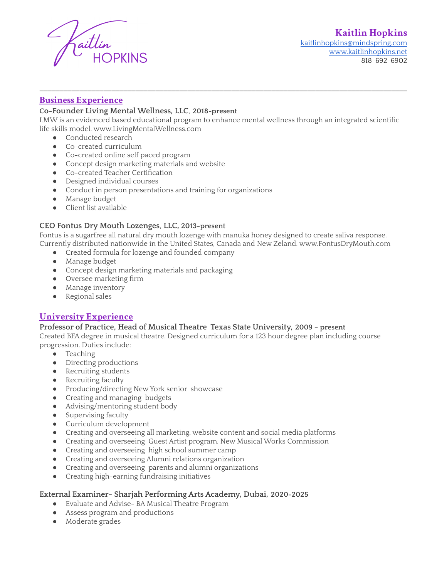

## **Business Experience**

#### **Co-Founder Living Mental Wellness, LLC**, **2018-present**

LMW is an evidenced based educational program to enhance mental wellness through an integrated scientific life skills model. www.LivingMentalWellness.com

\_\_\_\_\_\_\_\_\_\_\_\_\_\_\_\_\_\_\_\_\_\_\_\_\_\_\_\_\_\_\_\_\_\_\_\_\_\_\_\_\_\_\_\_\_\_\_\_\_\_\_\_\_\_\_\_\_\_\_\_\_\_\_\_\_\_\_\_\_\_\_\_\_\_\_\_\_\_\_\_\_\_\_\_\_\_\_\_\_\_\_\_

- Conducted research
- Co-created curriculum
- Co-created online self paced program
- Concept design marketing materials and website
- Co-created Teacher Certification
- Designed individual courses
- Conduct in person presentations and training for organizations
- Manage budget
- Client list available

#### **CEO Fontus Dry Mouth Lozenges**, **LLC, 2013-present**

Fontus is a sugarfree all natural dry mouth lozenge with manuka honey designed to create saliva response.

Currently distributed nationwide in the United States, Canada and New Zeland. www.FontusDryMouth.com

- Created formula for lozenge and founded company
- Manage budget
- Concept design marketing materials and packaging
- Oversee marketing firm
- Manage inventory
- Regional sales

## **University Experience**

#### **Professor of Practice, Head of Musical Theatre Texas State University, 2009 – present**

Created BFA degree in musical theatre. Designed curriculum for a 123 hour degree plan including course progression. Duties include:

- Teaching
- Directing productions
- Recruiting students
- Recruiting faculty
- Producing/directing New York senior showcase
- Creating and managing budgets
- Advising/mentoring student body
- Supervising faculty
- Curriculum development
- Creating and overseeing all marketing, website content and social media platforms
- Creating and overseeing Guest Artist program, New Musical Works Commission
- Creating and overseeing high school summer camp
- Creating and overseeing Alumni relations organization
- Creating and overseeing parents and alumni organizations
- Creating high-earning fundraising initiatives

#### **External Examiner- Sharjah Performing Arts Academy, Dubai, 2020-2025**

- Evaluate and Advise- BA Musical Theatre Program
- Assess program and productions
- Moderate grades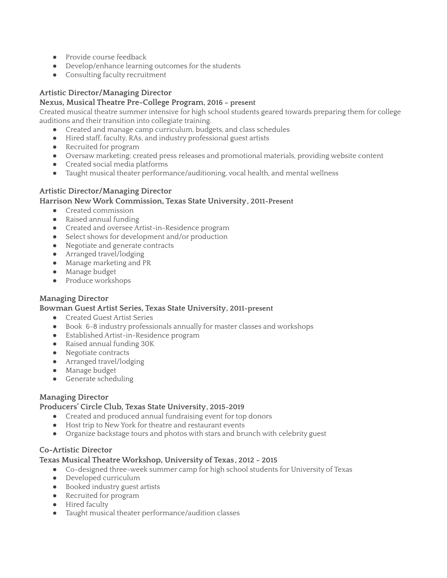- Provide course feedback
- Develop/enhance learning outcomes for the students
- Consulting faculty recruitment

## **Artistic Director/Managing Director**

## **Nexus, Musical Theatre Pre-College Program, 2016 – present**

Created musical theatre summer intensive for high school students geared towards preparing them for college auditions and their transition into collegiate training.

- Created and manage camp curriculum, budgets, and class schedules
- Hired staff, faculty, RAs, and industry professional guest artists
- Recruited for program
- Oversaw marketing; created press releases and promotional materials, providing website content
- Created social media platforms
- Taught musical theater performance/auditioning, vocal health, and mental wellness

## **Artistic Director/Managing Director**

## **Harrison NewWork Commission, Texas State University, 2011-Present**

- Created commission
- Raised annual funding
- Created and oversee Artist-in-Residence program
- Select shows for development and/or production
- Negotiate and generate contracts
- Arranged travel/lodging
- Manage marketing and PR
- Manage budget
- Produce workshops

## **Managing Director**

#### **Bowman Guest Artist Series, Texas State University, 2011-present**

- Created Guest Artist Series
- Book 6-8 industry professionals annually for master classes and workshops
- Established Artist-in-Residence program
- Raised annual funding 30K
- Negotiate contracts
- Arranged travel/lodging
- Manage budget
- Generate scheduling

## **Managing Director**

## **Producers' Circle Club, Texas State University, 2015-2019**

- Created and produced annual fundraising event for top donors
- Host trip to New York for theatre and restaurant events
- Organize backstage tours and photos with stars and brunch with celebrity guest

## **Co-Artistic Director**

## **Texas Musical Theatre Workshop, University of Texas , 2012 – 2015**

- Co-designed three-week summer camp for high school students for University of Texas
- Developed curriculum
- Booked industry guest artists
- Recruited for program
- Hired faculty
- Taught musical theater performance/audition classes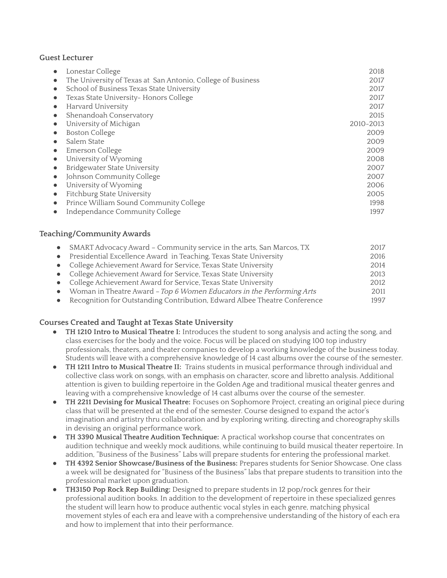#### **Guest Lecturer**

| Lonestar College                                                         | 2018      |
|--------------------------------------------------------------------------|-----------|
| The University of Texas at San Antonio, College of Business<br>$\bullet$ | 2017      |
| School of Business Texas State University                                | 2017      |
| Texas State University- Honors College                                   | 2017      |
| Harvard University                                                       | 2017      |
| Shenandoah Conservatory<br>$\bullet$                                     | 2015      |
| University of Michigan                                                   | 2010-2013 |
| <b>Boston College</b>                                                    | 2009      |
| Salem State                                                              | 2009      |
| Emerson College                                                          | 2009      |
| University of Wyoming                                                    | 2008      |
| <b>Bridgewater State University</b>                                      | 2007      |
| Johnson Community College                                                | 2007      |
| University of Wyoming                                                    | 2006      |
| Fitchburg State University<br>$\bullet$                                  | 2005      |
| Prince William Sound Community College                                   | 1998      |
| Independance Community College                                           | 1997      |

#### **Teaching/CommunityAwards**

| • SMART Advocacy Award - Community service in the arts, San Marcos, TX      | 2017 |
|-----------------------------------------------------------------------------|------|
| • Presidential Excellence Award in Teaching, Texas State University         | 2016 |
| • College Achievement Award for Service, Texas State University             | 2014 |
| • College Achievement Award for Service, Texas State University             | 2013 |
| • College Achievement Award for Service, Texas State University             | 2012 |
| • Woman in Theatre Award - Top 6 Women Educators in the Performing Arts     | 2011 |
| • Recognition for Outstanding Contribution, Edward Albee Theatre Conference | 1997 |
|                                                                             |      |

#### **Courses Created and Taught at Texas State University**

- **TH 1210 Intro to Musical Theatre I:** Introduces the student to song analysis and acting the song, and class exercises for the body and the voice. Focus will be placed on studying 100 top industry professionals, theaters, and theater companies to develop a working knowledge of the business today. Students will leave with a comprehensive knowledge of 14 cast albums over the course of the semester.
- **TH 1211 Intro to Musical Theatre II:** Trains students in musical performance through individual and collective class work on songs, with an emphasis on character, score and libretto analysis. Additional attention is given to building repertoire in the Golden Age and traditional musical theater genres and leaving with a comprehensive knowledge of 14 cast albums over the course of the semester.
- **● TH 2211 Devising for Musical Theatre:** Focuses on Sophomore Project, creating an original piece during class that will be presented at the end of the semester. Course designed to expand the actor's imagination and artistry thru collaboration and by exploring writing, directing and choreography skills in devising an original performance work.
- **● TH 3390 Musical Theatre Audition Technique:** A practical workshop course that concentrates on audition technique and weekly mock auditions, while continuing to build musical theater repertoire. In addition, "Business of the Business" Labs will prepare students for entering the professional market.
- **● TH 4392 Senior Showcase/Business of the Business:** Prepares students for Senior Showcase. One class a week will be designated for "Business of the Business" labs that prepare students to transition into the professional market upon graduation.
- **TH3150 Pop Rock Rep Building:** Designed to prepare students in 12 pop/rock genres for their professional audition books. In addition to the development of repertoire in these specialized genres the student will learn how to produce authentic vocal styles in each genre, matching physical movement styles of each era and leave with a comprehensive understanding of the history of each era and how to implement that into their performance.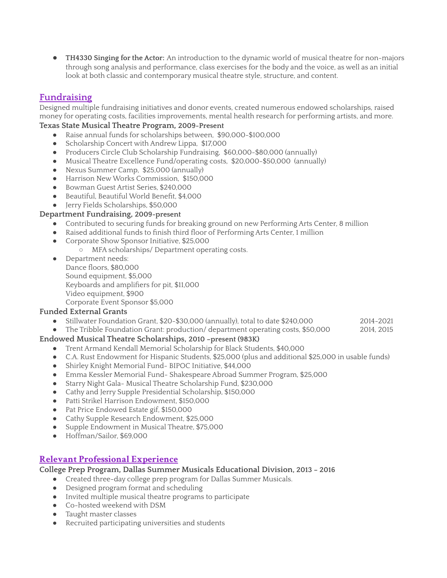**TH4330 Singing for the Actor:** An introduction to the dynamic world of musical theatre for non-majors through song analysis and performance, class exercises for the body and the voice, as well as an initial look at both classic and contemporary musical theatre style, structure, and content.

# **Fundraising**

Designed multiple fundraising initiatives and donor events, created numerous endowed scholarships, raised money for operating costs, facilities improvements, mental health research for performing artists, and more.

## **Texas State Musical Theatre Program, 2009-Present**

- Raise annual funds for scholarships between, \$90,000-\$100,000
- Scholarship Concert with Andrew Lippa, \$17,000
- Producers Circle Club Scholarship Fundraising, \$60,000-\$80,000 (annually)
- Musical Theatre Excellence Fund/operating costs, \$20,000-\$50,000 (annually)
- Nexus Summer Camp, \$25,000 (annually)
- Harrison NewWorks Commission, \$150,000
- Bowman Guest Artist Series, \$240,000
- Beautiful, Beautiful World Benefit, \$4,000
- Jerry Fields Scholarships, \$50,000

### **Department Fundraising, 2009-present**

- Contributed to securing funds for breaking ground on new Performing Arts Center, 8 million
- Raised additional funds to finish third floor of Performing Arts Center, 1 million
- Corporate Show Sponsor Initiative, \$25,000
	- MFA scholarships/ Department operating costs.
- Department needs: Dance floors, \$80,000 Sound equipment, \$5,000 Keyboards and amplifiers for pit, \$11,000 Video equipment, \$900 Corporate Event Sponsor \$5,000

## **Funded External Grants**

- Stillwater Foundation Grant, \$20-\$30,000 (annually), total to date \$240,000 2014-2021
- The Tribble Foundation Grant: production/ department operating costs, \$50,000 2014, 2015

## **Endowed Musical Theatre Scholarships, 2010 –present (983K)**

- Trent Armand Kendall Memorial Scholarship for Black Students, \$40,000
- C.A. Rust Endowment for Hispanic Students, \$25,000 (plus and additional \$25,000 in usable funds)
- Shirley Knight Memorial Fund- BIPOC Initiative, \$44,000
- Emma Kessler Memorial Fund- Shakespeare Abroad Summer Program, \$25,000
- Starry Night Gala- Musical Theatre Scholarship Fund, \$230,000
- Cathy and Jerry Supple Presidential Scholarship, \$150,000
- Patti Strikel Harrison Endowment, \$150,000
- Pat Price Endowed Estate gif, \$150,000
- Cathy Supple Research Endowment, \$25,000
- Supple Endowment in Musical Theatre, \$75,000
- Hoffman/Sailor, \$69,000

## **Relevant Professional Experience**

**College Prep Program, Dallas Summer Musicals Educational Division, 2013 – 2016**

- Created three-day college prep program for Dallas Summer Musicals.
- Designed program format and scheduling
- Invited multiple musical theatre programs to participate
- Co-hosted weekend with DSM
- Taught master classes
- Recruited participating universities and students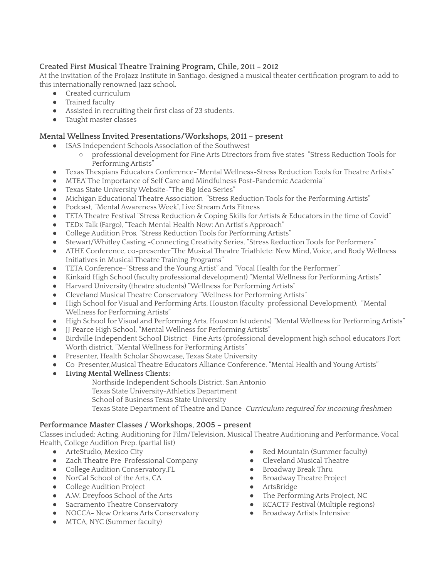## **Created First Musical Theatre Training Program, Chile, 2011 – 2012**

At the invitation of the ProJazz Institute in Santiago, designed a musical theater certification program to add to this internationally renowned Jazz school.

- Created curriculum
	- Trained faculty
	- Assisted in recruiting their first class of 23 students.
	- Taught master classes

## **Mental Wellness Invited Presentations/Workshops, 2011 – present**

- ISAS Independent Schools Association of the Southwest
	- professional development for Fine Arts Directors from five states-"Stress Reduction Tools for Performing Artists"
- Texas Thespians Educators Conference-"Mental Wellness-Stress Reduction Tools for Theatre Artists"
- MTEA"The Importance of Self Care and Mindfulness Post-Pandemic Academia"
- Texas State UniversityWebsite-"The Big Idea Series"
- Michigan Educational Theatre Association-"Stress Reduction Tools for the Performing Artists"
- Podcast, "Mental Awareness Week", Live Stream Arts Fitness
- TETA Theatre Festival "Stress Reduction & Coping Skills for Artists & Educators in the time of Covid"
- TEDx Talk (Fargo), "Teach Mental Health Now: An Artist's Approach"
- College Audition Pros, "Stress Reduction Tools for Performing Artists"
- Stewart/Whitley Casting -Connecting Creativity Series, "Stress Reduction Tools for Performers"
- ATHE Conference, co-presenter"The Musical Theatre Triathlete: New Mind, Voice, and BodyWellness Initiatives in Musical Theatre Training Programs"
- TETA Conference-"Stress and the Young Artist" and "Vocal Health for the Performer"
- Kinkaid High School (faculty professional development) "Mental Wellness for Performing Artists"
- Harvard University (theatre students) "Wellness for Performing Artists"
- Cleveland Musical Theatre Conservatory "Wellness for Performing Artists"
- High School for Visual and Performing Arts, Houston (faculty professional Development), "Mental Wellness for Performing Artists"
- High School for Visual and Performing Arts, Houston (students) "Mental Wellness for Performing Artists"
- JJ Pearce High School, "Mental Wellness for Performing Artists"
- Birdville Independent School District- Fine Arts (professional development high school educators Fort Worth district, "Mental Wellness for Performing Artists"
- Presenter, Health Scholar Showcase, Texas State University
- Co-Presenter,Musical Theatre Educators Alliance Conference, "Mental Health and Young Artists"
- **Living Mental Wellness Clients:**
	- Northside Independent Schools District, San Antonio
		- Texas State University-Athletics Department
		- School of Business Texas State University

Texas State Department of Theatre and Dance-Curriculum required for incoming freshmen

## **Performance Master Classes / Workshops**, **2005 – present**

Classes included: Acting, Auditioning for Film/Television, Musical Theatre Auditioning and Performance, Vocal Health, College Audition Prep. (partial list)

- **•** ArteStudio, Mexico City
- Zach Theatre Pre-Professional Company
- College Audition Conservatory,FL
- NorCal School of the Arts, CA
- College Audition Project
- A.W. Dreyfoos School of the Arts
- Sacramento Theatre Conservatory
- NOCCA- New Orleans Arts Conservatory
- MTCA, NYC (Summer faculty)
- Red Mountain (Summer faculty)
- Cleveland Musical Theatre
- Broadway Break Thru
- Broadway Theatre Project
- ArtsBridge
- The Performing Arts Project, NC
- KCACTF Festival (Multiple regions)
- Broadway Artists Intensive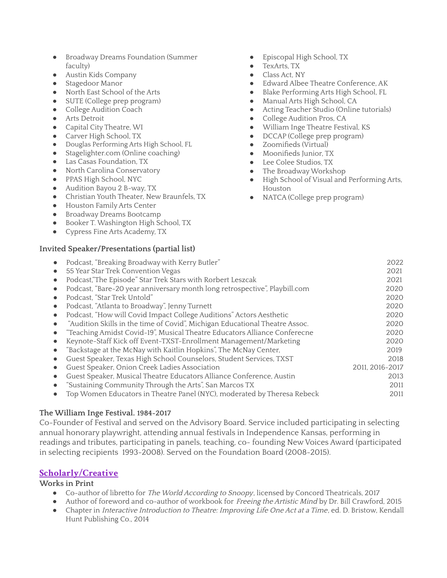- Broadway Dreams Foundation (Summer faculty)
- Austin Kids Company
- Stagedoor Manor
- North East School of the Arts
- SUTE (College prep program)
- College Audition Coach
- Arts Detroit
- Capital City Theatre, WI
- **•** Carver High School, TX
- Douglas Performing Arts High School, FL
- Stagelighter.com (Online coaching)
- Las Casas Foundation, TX
- North Carolina Conservatory
- PPAS High School, NYC
- Audition Bayou 2 B-way, TX
- Christian Youth Theater, New Braunfels, TX
- Houston Family Arts Center
- Broadway Dreams Bootcamp
- Booker T. Washington High School, TX
- Cypress Fine Arts Academy, TX

## **Invited Speaker/Presentations (partial list)**

- Episcopal High School, TX
- TexArts, TX
- Class Act, NY
- Edward Albee Theatre Conference, AK
- Blake Performing Arts High School, FL
- Manual Arts High School, CA
- Acting Teacher Studio (Online tutorials)
- College Audition Pros, CA
- William Inge Theatre Festival, KS
- DCCAP (College prep program)
- Zoomifieds (Virtual)
- Moonifieds Junior, TX
- Lee Colee Studios. TX
- The Broadway Workshop
- High School of Visual and Performing Arts, Houston
- NATCA (College prep program)

| Podcast, "Breaking Broadway with Kerry Butler"                              | 2022            |
|-----------------------------------------------------------------------------|-----------------|
| 55 Year Star Trek Convention Vegas                                          | 2021            |
| Podcast,"The Episode" Star Trek Stars with Rorbert Leszcak                  | 2021            |
| Podcast, "Bare-20 year anniversary month long retrospective", Playbill.com  | 2020            |
| Podcast, "Star Trek Untold"                                                 | 2020            |
| Podcast, "Atlanta to Broadway", Jenny Turnett                               | 2020            |
| Podcast, "How will Covid Impact College Auditions" Actors Aesthetic         | 2020            |
| "Audition Skills in the time of Covid", Michigan Educational Theatre Assoc. | 2020            |
| "Teaching Amidst Covid-19", Musical Theatre Educators Alliance Conferecne   | 2020            |
| Keynote-Staff Kick off Event-TXST-Enrollment Management/Marketing           | 2020            |
| "Backstage at the McNay with Kaitlin Hopkins", The McNay Center,            | 2019            |
| Guest Speaker, Texas High School Counselors, Student Services, TXST         | 2018            |
| Guest Speaker, Onion Creek Ladies Association                               | 2011, 2016-2017 |
| Guest Speaker, Musical Theatre Educators Alliance Conference, Austin        | 2013            |
| "Sustaining Community Through the Arts", San Marcos TX                      | 2011            |
| Top Women Educators in Theatre Panel (NYC), moderated by Theresa Rebeck     | 2011            |
|                                                                             |                 |

## **The William Inge Festival. 1984-2017**

Co-Founder of Festival and served on the Advisory Board. Service included participating in selecting annual honorary playwright, attending annual festivals in Independence Kansas, performing in readings and tributes, participating in panels, teaching, co- founding New Voices Award (participated in selecting recipients 1993-2008). Served on the Foundation Board (2008-2015).

## **Scholarly/Creative**

## **Works in Print**

- Co-author of libretto for The World According to Snoopy, licensed by Concord Theatricals, 2017
- Author of foreword and co-author of workbook for Freeing the Artistic Mind by Dr. Bill Crawford, 2015
- Chapter in Interactive Introduction to Theatre: Improving Life One Act at <sup>a</sup> Time, ed. D. Bristow, Kendall Hunt Publishing Co., 2014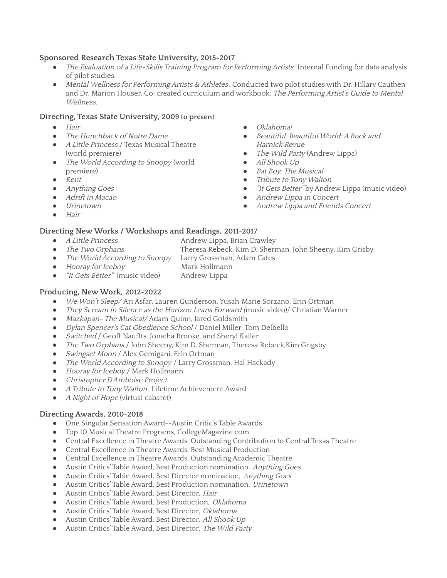### **Sponsored Research Texas State University, 2015-2017**

- The Evaluation of a Life-Skills Training Program for Performing Artists. Internal Funding for data analysis of pilot studies.
- Mental Wellness for Performing Artists & Athletes. Conducted two pilot studies with Dr. Hillary Cauthen and Dr. Marion Houser. Co-created curriculum and workbook: The Performing Artist's Guide to Mental Wellness.

#### **Directing, Texas State University, 2009 to present**

- *●* Hair
- *●* The Hunchback of Notre Dame
- A Little Princess / Texas Musical Theatre (world premiere)
- The World According to Snoopy (world premiere)
- *●* Rent
- *●* Anything Goes
- *●* Adrift in Macao
- *●* Urinetown
- *●* Hair

#### **Directing NewWorks / Workshops and Readings, 2011-2017**

- 
- A Little Princess Andrew Lippa, Brian Crawley
- The Two Orphans Theresa Rebeck, Kim D. Sherman, John Sheeny, Kim Grisby
- *●* The World According to Snoopy Larry Grossman, Adam Cates
- Hooray for Iceboy Mark Hollmann
	-
- "It Gets Better" (music video) Andrew Lippa

### **Producing, NewWork, 2012-2022**

- We Won't Sleep/ Ari Asfar, Lauren Gunderson, Yusah Marie Sorzano, Erin Ortman
- They Scream in Silence as the Horizon Leans Forward (music video)/ Christian Warner
- Mazkapan- The Musical/ Adam Quinn, Jared Goldsmith
- Dylan Spencer's Cat Obedience School / Daniel Miller, Tom Delbello
- Switched / Geoff Nauffts, Jonatha Brooke, and Sheryl Kaller
- The Two Orphans / John Sheeny, Kim D. Sherman, Theresa Rebeck, Kim Grigsby
- *Swingset Moon* / Alex Gemigani, Erin Ortman
- The World According to Snoopy / Larry Grossman, Hal Hackady
- Hooray for Iceboy / Mark Hollmann
- Christopher <sup>D</sup>'Amboise Project
- A Tribute to Tony Walton, Lifetime Achievement Award
- A Night of Hope (virtual cabaret)

#### **Directing Awards, 2010-2018**

- One Singular Sensation Award--Austin Critic's Table Awards
- Top 10 Musical Theatre Programs, CollegeMagazine.com
- Central Excellence in Theatre Awards, Outstanding Contribution to Central Texas Theatre
- Central Excellence in Theatre Awards, Best Musical Production
- Central Excellence in Theatre Awards, Outstanding Academic Theatre
- Austin Critics' Table Award, Best Production nomination, Anything Goes
- Austin Critics' Table Award, Best Director nomination, Anything Goes
- Austin Critics' Table Award, Best Production nomination, Urinetown
- Austin Critics' Table Award, Best Director, Hair
- Austin Critics' Table Award, Best Production, Oklahoma
- Austin Critics' Table Award, Best Director, Oklahoma
- Austin Critics' Table Award, Best Director, All Shook Up
- Austin Critics' Table Award, Best Director, The Wild Party
- *●* Oklahoma!
- *●* Beautiful, Beautiful World: <sup>A</sup> Bock and Harnick Revue
- The Wild Party (Andrew Lippa)
- *●* All Shook Up
- *●* Bat Boy: The Musical
- *●* Tribute to TonyWalton
- "It Gets Better" by Andrew Lippa (music video)
- *●* Andrew Lippa in Concert
- *●* Andrew Lippa and Friends Concert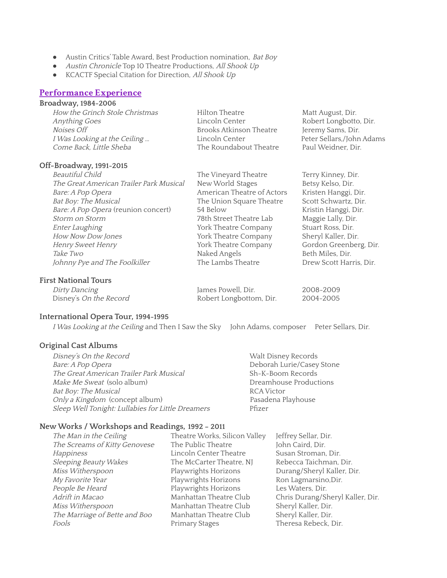- Austin Critics' Table Award, Best Production nomination, Bat Boy
- Austin Chronicle Top 10 Theatre Productions, All Shook Up
- KCACTF Special Citation for Direction, All Shook Up

#### **Performance Experience**

### **Broadway, 1984-2006**

| How the Grinch Stole Christmas | Hilton Theatre          | Matt August, Dir.         |
|--------------------------------|-------------------------|---------------------------|
| Anything Goes                  | Lincoln Center          | Robert Longbotto, Dir.    |
| Noises Off                     | Brooks Atkinson Theatre | Jeremy Sams, Dir.         |
| I Was Looking at the Ceiling   | Lincoln Center          | Peter Sellars,/John Adams |
| Come Back, Little Sheba        | The Roundabout Theatre  | Paul Weidner, Dir.        |
|                                |                         |                           |

#### **Off-Broadway, 1991-2015**

| <b>Beautiful Child</b>                  | The Vineyard Theatre       | Terry Kinney, Dir.      |
|-----------------------------------------|----------------------------|-------------------------|
| The Great American Trailer Park Musical | New World Stages           | Betsy Kelso, Dir.       |
| Bare: A Pop Opera                       | American Theatre of Actors | Kristen Hanggi, Dir.    |
| Bat Boy: The Musical                    | The Union Square Theatre   | Scott Schwartz, Dir.    |
| Bare: A Pop Opera (reunion concert)     | 54 Below                   | Kristin Hanggi, Dir.    |
| Storm on Storm                          | 78th Street Theatre Lab    | Maggie Lally, Dir.      |
| Enter Laughing                          | York Theatre Company       | Stuart Ross, Dir.       |
| How Now Dow Jones                       | York Theatre Company       | Sheryl Kaller, Dir.     |
| Henry Sweet Henry                       | York Theatre Company       | Gordon Greenberg, Dir.  |
| Take Two                                | Naked Angels               | Beth Miles, Dir.        |
| Johnny Pye and The Foolkiller           | The Lambs Theatre          | Drew Scott Harris, Dir. |

#### **First National Tours**

| Dirty Dancing          | James Powell, Dir.      | 2008-2009 |
|------------------------|-------------------------|-----------|
| Disney's On the Record | Robert Longbottom, Dir. | 2004-2005 |

#### **International Opera Tour, 1994-1995**

I Was Looking at the Ceiling and Then I Saw the Sky John Adams, composer Peter Sellars, Dir.

#### **Original Cast Albums**

Disney's On the Record Walt Disney Records Bare: A Pop Opera<br>
The Great American Trailer Park Musical<br>
Sh-K-Boom Records The Great American Trailer Park Musical Make Me Sweat (solo album) and the Sweat (solo album) and the Dreamhouse Productions Bat Boy: The Musical RCAVictor Only a Kingdom (concept album) entitled a passadena Playhouse Sleep Well Tonight: Lullabies for Little Dreamers Pfizer

### **NewWorks / Workshops and Readings, 1992 – 2011**

| The Man in the Ceiling        | Theatre Works, Silicon Valley | Jeffrey Sellar, Dir.             |
|-------------------------------|-------------------------------|----------------------------------|
| The Screams of Kitty Genovese | The Public Theatre            | John Caird, Dir.                 |
| Happiness                     | Lincoln Center Theatre        | Susan Stroman, Dir.              |
| Sleeping Beauty Wakes         | The McCarter Theatre, NJ      | Rebecca Taichman, Dir.           |
| Miss Witherspoon              | Playwrights Horizons          | Durang/Sheryl Kaller, Dir.       |
| My Favorite Year              | Playwrights Horizons          | Ron Lagmarsino, Dir.             |
| People Be Heard               | Playwrights Horizons          | Les Waters, Dir.                 |
| Adrift in Macao               | Manhattan Theatre Club        | Chris Durang/Sheryl Kaller, Dir. |
| Miss Witherspoon              | Manhattan Theatre Club        | Sheryl Kaller, Dir.              |
| The Marriage of Bette and Boo | Manhattan Theatre Club        | Sheryl Kaller, Dir.              |
| Fools                         | Primary Stages                | Theresa Rebeck, Dir.             |
|                               |                               |                                  |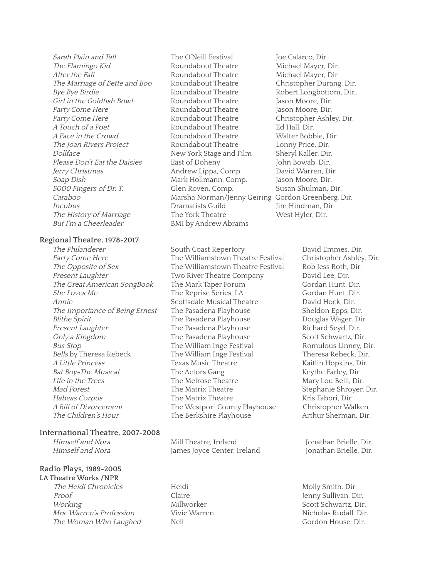Sarah Plain and Tall The O'Neill Festival Joe Calarco, Dir. The Flamingo Kid **Roundabout Theatre** Michael Mayer, Dir. After the Fall **Roundabout Theatre** Michael Mayer, Dir The Marriage of Bette and Boo Roundabout Theatre Christopher Durang, Dir.<br>Bye Bye Birdie Burdie Roundabout Theatre Robert Longbottom. Dir.. Bye Bye Birdie **Roundabout Theatre** Robert Longbottom, Dir.. Girl in the Goldfish Bowl **Roundabout Theatre** Jason Moore, Dir. Party Come Here **Roundabout Theatre** Jason Moore, Dir. Party Come Here **Roundabout Theatre** Christopher Ashley, Dir. A Touch of a Poet **Roundabout Theatre** Ed Hall, Dir. A Face in the Crowd Roundabout Theatre Walter Bobbie, Dir. The Joan Rivers Project Roundabout Theatre Lonny Price, Dir. Dollface New York Stage and Film Sheryl Kaller, Dir. Please Don't Eat the Daisies East of Doheny John Bowab, Dir. Jerry Christmas Andrew Lippa, Comp. David Warren, Dir. Soap Dish Mark Hollmann, Comp. Jason Moore, Dir. 5000 Fingers of Dr. T. Glen Roven, Comp. Susan Shulman, Dir. Caraboo **Marsha Norman/Jenny Geiring Gordon Greenberg**, Dir. Incubus Dramatists Guild Jim Hindman, Dir. The History of Marriage The York Theatre West Hyler, Dir. But I'm a Cheerleader BMI by Andrew Abrams

#### **Regional Theatre, 1978-2017**

#### **International Theatre, 2007-2008**

#### **Radio Plays, 1989-2005 LA Theatre Works /NPR**

The Heidi Chronicles **Heidi** Heidi Molly Smith, Dir. Proof Claire Claire General Menny Sullivan, Dir. Working Millworker Scott Schwartz, Dir. Mrs. Warren's Profession Vivie Warren Nicholas Rudall, Dir. The Woman Who Laughed Nell Nell Gordon House, Dir.

The Philanderer South Coast Repertory David Emmes, Dir. Party Come Here The Williamstown Theatre Festival Christopher Ashley, Dir.<br>The Opposite of Sex The Williamstown Theatre Festival Rob Jess Roth, Dir. The Williamstown Theatre Festival Rob Jess Roth, Dir. Present Laughter Two River Theatre Company David Lee, Dir. The Great American SongBook The Mark Taper Forum Gordan Hunt, Dir. She Loves Me The Reprise Series, LA Gordan Hunt, Dir. Annie Scottsdale Musical Theatre David Hock, Dir. The Importance of Being Ernest The Pasadena Playhouse Sheldon Epps, Dir. Blithe Spirit The Pasadena Playhouse Douglas Wager, Dir. Present Laughter The Pasadena Playhouse Richard Seyd, Dir. Only a Kingdom The Pasadena Playhouse Scott Schwartz, Dir. Bus Stop The William Inge Festival Romulous Linney, Dir. Bells by Theresa Rebeck The William Inge Festival Theresa Rebeck, Dir. A Little Princess Texas Music Theatre Texas Music Theatre Kaitlin Hopkins, Dir. Bat Boy-The Musical The Actors Gang The Actors Cannel Keythe Farley, Dir. Life in the Trees The Melrose Theatre Mary Lou Belli, Dir. Mad Forest The Matrix Theatre Stephanie Shroyer, Dir. Habeas Corpus The Matrix Theatre The Matrix Theatre Kris Tabori, Dir. <sup>A</sup> Bill of Divorcement The Westport County Playhouse ChristopherWalken The Children's Hour The Berkshire Playhouse Arthur Sherman, Dir.

Himself and Nora **Mill Theatre, Ireland** Jonathan Brielle, Dir. Himself and Nora **James Joyce Center, Ireland** Jonathan Brielle, Dir.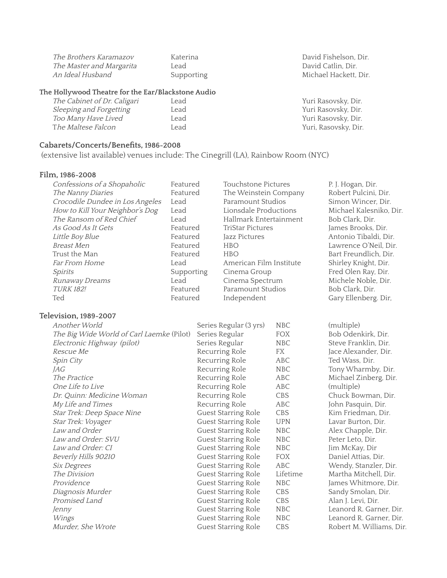| The Brothers Karamazov   | Katerina  |
|--------------------------|-----------|
| The Master and Margarita | Lead      |
| An Ideal Husband         | Supportin |

## **The Hollywood Theatre for the Ear/Blackstone Audio**

| The Cabinet of Dr. Caligari | Lead | Yuri Rasovsky, Dir.  |
|-----------------------------|------|----------------------|
| Sleeping and Forgetting     | Lead | Yuri Rasovsky, Dir.  |
| <i>Too Many Have Lived</i>  | Lead | Yuri Rasovsky, Dir.  |
| The Maltese Falcon          | Lead | Yuri, Rasovsky, Dir. |

## **Cabarets/Concerts/Benefits, 1986-2008**

(extensive list available) venues include: The Cinegrill (LA), Rainbow Room (NYC)

## **Film, 1986-2008**

| Confessions of a Shopaholic               | Featured<br>Touchstone Pictures |                |                            | P. J. Hogan, Dir. |                          |
|-------------------------------------------|---------------------------------|----------------|----------------------------|-------------------|--------------------------|
| The Nanny Diaries                         | Featured                        |                | The Weinstein Company      |                   | Robert Pulcini, Dir.     |
| Crocodile Dundee in Los Angeles           | Lead                            |                | Paramount Studios          |                   | Simon Wincer, Dir.       |
| How to Kill Your Neighbor's Dog           | Lead                            |                | Lionsdale Productions      |                   | Michael Kalesniko, Dir.  |
| The Ransom of Red Chief                   | Lead                            |                | Hallmark Entertainment     |                   | Bob Clark, Dir.          |
| As Good As It Gets                        | Featured                        |                | <b>TriStar Pictures</b>    |                   | James Brooks, Dir.       |
| Little Boy Blue                           | Featured                        |                | Jazz Pictures              |                   | Antonio Tibaldi, Dir.    |
| <b>Breast Men</b>                         | Featured                        |                | <b>HBO</b>                 |                   | Lawrence O'Neil, Dir.    |
| Trust the Man                             | Featured                        |                | <b>HBO</b>                 |                   | Bart Freundlich, Dir.    |
| Far From Home                             | Lead                            |                | American Film Institute    |                   | Shirley Knight, Dir.     |
| <b>Spirits</b>                            | Supporting                      |                | Cinema Group               |                   | Fred Olen Ray, Dir.      |
| Runaway Dreams                            | Lead                            |                | Cinema Spectrum            |                   | Michele Noble, Dir.      |
| <b>TURK 182!</b>                          | Featured                        |                | Paramount Studios          |                   | Bob Clark, Dir.          |
| Ted                                       | Featured                        |                | Independent                |                   | Gary Ellenberg. Dir,     |
| Television, 1989-2007                     |                                 |                |                            |                   |                          |
| Another World                             |                                 |                | Series Regular (3 yrs)     | <b>NBC</b>        | (multiple)               |
| The Big Wide World of Carl Laemke (Pilot) |                                 | Series Regular |                            | <b>FOX</b>        | Bob Odenkirk, Dir.       |
| Electronic Highway (pilot)                |                                 | Series Regular |                            | <b>NBC</b>        | Steve Franklin, Dir.     |
| Rescue Me                                 |                                 |                | Recurring Role             | FX                | Jace Alexander, Dir.     |
| Spin City                                 |                                 |                | Recurring Role             | <b>ABC</b>        | Ted Wass, Dir.           |
| JAG                                       |                                 |                | Recurring Role             | <b>NBC</b>        | Tony Wharmby, Dir.       |
| The Practice                              |                                 |                | Recurring Role             | ABC               | Michael Zinberg, Dir.    |
| One Life to Live                          |                                 |                | Recurring Role             | <b>ABC</b>        | (multiple)               |
| Dr. Quinn: Medicine Woman                 |                                 |                | Recurring Role             | CBS               | Chuck Bowman, Dir.       |
| My Life and Times                         |                                 |                | Recurring Role             | <b>ABC</b>        | John Pasquin, Dir.       |
| Star Trek: Deep Space Nine                |                                 |                | Guest Starring Role        | CBS               | Kim Friedman, Dir.       |
| Star Trek: Voyager                        |                                 |                | Guest Starring Role        | <b>UPN</b>        | Lavar Burton, Dir.       |
| Law and Order                             |                                 |                | Guest Starring Role        | <b>NBC</b>        | Alex Chapple, Dir.       |
| Law and Order: SVU                        |                                 |                | <b>Guest Starring Role</b> | <b>NBC</b>        | Peter Leto, Dir.         |
| Law and Order: CI                         |                                 |                | <b>Guest Starring Role</b> | <b>NBC</b>        | Jim McKay, Dir           |
| Beverly Hills 90210                       |                                 |                | Guest Starring Role        | <b>FOX</b>        | Daniel Attias, Dir.      |
| Six Degrees                               |                                 |                | Guest Starring Role        | <b>ABC</b>        | Wendy, Stanzler, Dir.    |
| The Division                              |                                 |                | Guest Starring Role        | Lifetime          | Martha Mitchell, Dir.    |
| Providence                                |                                 |                | Guest Starring Role        | <b>NBC</b>        | James Whitmore, Dir.     |
| Diagnosis Murder                          |                                 |                | <b>Guest Starring Role</b> | CBS               | Sandy Smolan, Dir.       |
| Promised Land                             |                                 |                | <b>Guest Starring Role</b> | CBS               | Alan J. Levi, Dir.       |
| Jenny                                     |                                 |                | Guest Starring Role        | <b>NBC</b>        | Leanord R. Garner, Dir.  |
| Wings                                     |                                 |                | Guest Starring Role        | <b>NBC</b>        | Leanord R. Garner, Dir.  |
| Murder, She Wrote                         |                                 |                | <b>Guest Starring Role</b> | CBS               | Robert M. Williams, Dir. |

David Fishelson, Dir. David Catlin, Dir. ng **An Ideal Husband Supporting Michael Hackett**, Dir.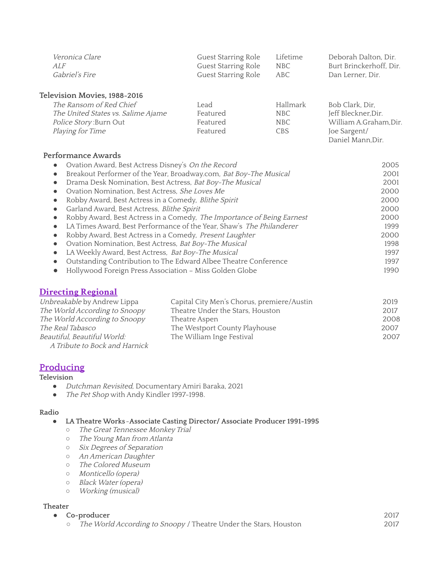| <i>Veronica Clare</i> | Guest Starring Role | Lifetime | Deborah Dalton, Dir.    |
|-----------------------|---------------------|----------|-------------------------|
| ALF                   | Guest Starring Role | NBC.     | Burt Brinckerhoff, Dir. |
| <i>Gabriel's Fire</i> | Guest Starring Role | ABC      | Dan Lerner, Dir.        |
|                       |                     |          |                         |

**Television Movies, 1988-2016**

| The Ransom of Red Chief            | Lead     | Hallmark   | Bob Clark, Dir,        |
|------------------------------------|----------|------------|------------------------|
| The United States vs. Salime Ajame | Featured | NBC        | Jeff Bleckner, Dir.    |
| <i>Police Story: Burn Out</i>      | Featured | NBC.       | William A.Graham, Dir. |
| <i>Playing for Time</i>            | Featured | <b>CBS</b> | Joe Sargent/           |
|                                    |          |            | Daniel Mann, Dir.      |

### **Performance Awards**

|           | Ovation Award, Best Actress Disney's On the Record                     | 2005 |
|-----------|------------------------------------------------------------------------|------|
| $\bullet$ | Breakout Performer of the Year, Broadway.com, Bat Boy-The Musical      | 2001 |
|           | Drama Desk Nomination, Best Actress, Bat Boy-The Musical               | 2001 |
|           | Ovation Nomination, Best Actress, She Loves Me                         | 2000 |
|           | Robby Award, Best Actress in a Comedy, Blithe Spirit                   | 2000 |
|           | Garland Award, Best Actress, Blithe Spirit                             | 2000 |
|           | Robby Award, Best Actress in a Comedy, The Importance of Being Earnest | 2000 |
|           | LA Times Award, Best Performance of the Year, Shaw's The Philanderer   | 1999 |
|           | Robby Award, Best Actress in a Comedy, Present Laughter                | 2000 |
|           | Ovation Nomination, Best Actress, Bat Boy-The Musical                  | 1998 |
|           | LA Weekly Award, Best Actress, Bat Boy-The Musical                     | 1997 |
|           | Outstanding Contribution to The Edward Albee Theatre Conference        | 1997 |
|           | Hollywood Foreign Press Association - Miss Golden Globe                | 1990 |

## **Directing Regional**

| Unbreakable by Andrew Lippa   | Capital City Men's Chorus, premiere/Austin | 2019 |
|-------------------------------|--------------------------------------------|------|
| The World According to Snoopy | Theatre Under the Stars, Houston           | 2017 |
| The World According to Snoopy | Theatre Aspen                              | 2008 |
| The Real Tabasco              | The Westport County Playhouse              | 2007 |
| Beautiful, Beautiful World:   | The William Inge Festival                  | 2007 |
| A Tribute to Bock and Harnick |                                            |      |

## **Producing**

### **Television**

- Dutchman Revisited, Documentary Amiri Baraka, 2021
- The Pet Shop with Andy Kindler 1997-1998.

#### **Radio**

#### **● LA Theatre Works**-**Associate Casting Director/ Associate Producer 1991-1995**

- The Great Tennessee Monkey Trial
- *○* The Young Man from Atlanta
- *○* Six Degrees of Separation
- *○* An American Daughter
- o The Colored Museum
- Monticello (opera)
- Black Water (opera)
- Working (musical)

#### **Theater**

- **● Co-producer**
	- o The World According to Snoopy / Theatre Under the Stars, Houston

2017 2017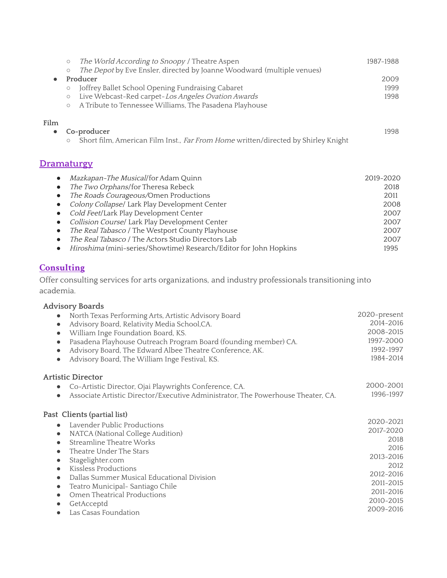|                                                  | The World According to Snoopy / Theatre Aspen<br>$\circlearrowright$                                                                                                                                                                                                                                                            | 1987-1988                                         |
|--------------------------------------------------|---------------------------------------------------------------------------------------------------------------------------------------------------------------------------------------------------------------------------------------------------------------------------------------------------------------------------------|---------------------------------------------------|
| $\bullet$                                        | The Depot by Eve Ensler, directed by Joanne Woodward (multiple venues)<br>$\circlearrowright$<br>Producer<br>Joffrey Ballet School Opening Fundraising Cabaret<br>$\circ$<br>Live Webcast-Red carpet-Los Angeles Ovation Awards<br>$\circlearrowright$<br>A Tribute to Tennessee Williams, The Pasadena Playhouse<br>$\bigcirc$ | 2009<br>1999<br>1998                              |
| Film<br>$\bullet$                                | Co-producer<br>Short film, American Film Inst., Far From Home written/directed by Shirley Knight<br>$\circlearrowright$                                                                                                                                                                                                         | 1998                                              |
|                                                  | <b>Dramaturgy</b>                                                                                                                                                                                                                                                                                                               |                                                   |
| $\bullet$<br>$\bullet$<br>$\bullet$<br>$\bullet$ | Mazkapan-The Musical/for Adam Quinn<br>The Two Orphans/for Theresa Rebeck<br>The Roads Courageous/Omen Productions<br>Colony Collapse/ Lark Play Development Center<br>Cold Feet/Lark Play Development Center<br>Collision Course/ Lark Play Development Center                                                                 | 2019-2020<br>2018<br>2011<br>2008<br>2007<br>2007 |

- The Real Tabasco / The Westport County Playhouse • The Real Tabasco / The Actors Studio Directors Lab
- Hiroshima (mini-series/Showtime) Research/Editor for John Hopkins 2007 1995

2007

## **Consulting**

Offer consulting services for arts organizations, and industry professionals transitioning into academia.

| <b>Advisory Boards</b>                                                                        |              |
|-----------------------------------------------------------------------------------------------|--------------|
| North Texas Performing Arts, Artistic Advisory Board                                          | 2020-present |
| Advisory Board, Relativity Media School,CA.<br>$\bullet$                                      | 2014-2016    |
| William Inge Foundation Board, KS.<br>$\bullet$                                               | 2008-2015    |
| Pasadena Playhouse Outreach Program Board (founding member) CA.<br>$\bullet$                  | 1997-2000    |
| Advisory Board, The Edward Albee Theatre Conference, AK.<br>$\bullet$                         | 1992-1997    |
| Advisory Board, The William Inge Festival, KS.                                                | 1984-2014    |
| <b>Artistic Director</b>                                                                      |              |
| Co-Artistic Director, Ojai Playwrights Conference, CA.<br>$\bullet$                           | 2000-2001    |
| Associate Artistic Director/Executive Administrator, The Powerhouse Theater, CA.<br>$\bullet$ | 1996-1997    |
| Past Clients (partial list)                                                                   |              |
| Lavender Public Productions                                                                   | 2020-2021    |
| NATCA (National College Audition)<br>$\bullet$                                                | 2017-2020    |
| Streamline Theatre Works<br>$\bullet$                                                         | 2018         |
| Theatre Under The Stars<br>$\bullet$                                                          | 2016         |
| Stagelighter.com<br>$\bullet$                                                                 | 2013-2016    |
| Kissless Productions<br>$\bullet$                                                             | 2012         |
| Dallas Summer Musical Educational Division<br>$\bullet$                                       | 2012-2016    |
| Teatro Municipal- Santiago Chile<br>$\bullet$                                                 | 2011-2015    |
| Omen Theatrical Productions<br>$\bullet$                                                      | 2011-2016    |
| GetAcceptd<br>$\bullet$                                                                       | 2010-2015    |
| Las Casas Foundation                                                                          | 2009-2016    |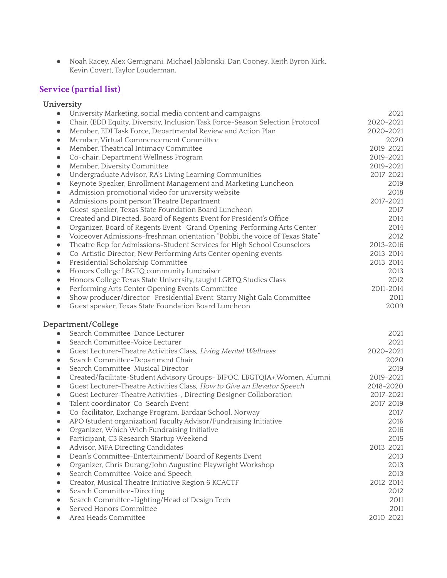● Noah Racey, Alex Gemignani, Michael Jablonski, Dan Cooney, Keith Byron Kirk, Kevin Covert, Taylor Louderman.

# **Service (partial list)**

## **University**

| $\bullet$ | University Marketing, social media content and campaigns                       | 2021              |
|-----------|--------------------------------------------------------------------------------|-------------------|
|           | Chair, (EDI) Equity, Diversity, Inclusion Task Force-Season Selection Protocol | 2020-2021         |
| $\bullet$ | Member, EDI Task Force, Departmental Review and Action Plan                    | 2020-2021         |
| $\bullet$ | Member, Virtual Commencement Committee                                         | 2020              |
| $\bullet$ | Member, Theatrical Intimacy Committee                                          | 2019-2021         |
| $\bullet$ | Co-chair, Department Wellness Program                                          | 2019-2021         |
| $\bullet$ | Member, Diversity Committee                                                    | 2019-2021         |
| $\bullet$ | Undergraduate Advisor, RA's Living Learning Communities                        | 2017-2021         |
| $\bullet$ | Keynote Speaker, Enrollment Management and Marketing Luncheon                  | 2019              |
| $\bullet$ | Admission promotional video for university website                             | 2018              |
| $\bullet$ | Admissions point person Theatre Department                                     | 2017-2021         |
| $\bullet$ | Guest speaker, Texas State Foundation Board Luncheon                           | 2017              |
| $\bullet$ | Created and Directed, Board of Regents Event for President's Office            | 2014              |
| $\bullet$ | Organizer, Board of Regents Event- Grand Opening-Performing Arts Center        | 2014              |
| $\bullet$ | Voiceover Admissions-freshman orientation "Bobbi, the voice of Texas State"    | 2012              |
| $\bullet$ | Theatre Rep for Admissions-Student Services for High School Counselors         | 2013-2016         |
| $\bullet$ | Co-Artistic Director, New Performing Arts Center opening events                | 2013-2014         |
| $\bullet$ | Presidential Scholarship Committee                                             | 2013-2014         |
| $\bullet$ | Honors College LBGTQ community fundraiser                                      | 2013              |
| $\bullet$ | Honors College Texas State University, taught LGBTQ Studies Class              | 2012              |
| $\bullet$ | Performing Arts Center Opening Events Committee                                | 2011-2014         |
| $\bullet$ | Show producer/director- Presidential Event-Starry Night Gala Committee         | 2011              |
| $\bullet$ | Guest speaker, Texas State Foundation Board Luncheon                           | 2009              |
|           |                                                                                |                   |
|           | Department/College                                                             |                   |
| $\bullet$ | Search Committee-Dance Lecturer                                                | 2021              |
| $\bullet$ | Search Committee-Voice Lecturer                                                | 2021              |
| $\bullet$ | Guest Lecturer-Theatre Activities Class, Living Mental Wellness                |                   |
| $\bullet$ | Search Committee-Department Chair                                              | 2020              |
| $\bullet$ | Search Committee-Musical Director                                              | 2019              |
| $\bullet$ | Created/facilitate-Student Advisory Groups- BIPOC, LBGTQIA+, Women, Alumni     | 2019-2021         |
| $\bullet$ | Guest Lecturer-Theatre Activities Class, How to Give an Elevator Speech        | 2018-2020         |
| $\bullet$ | Guest Lecturer-Theatre Activities-, Directing Designer Collaboration           | 2017-2021         |
| $\bullet$ | Talent coordinator-Co-Search Event                                             | 2017-2019         |
| $\bullet$ | Co-facilitator, Exchange Program, Bardaar School, Norway                       | 2020-2021<br>2017 |
| $\bullet$ | APO (student organization) Faculty Advisor/Fundraising Initiative              | 2016              |
| $\bullet$ | Organizer, Which Wich Fundraising Initiative                                   | 2016              |
|           | Participant, C3 Research Startup Weekend                                       | 2015              |
|           | Advisor, MFA Directing Candidates                                              | 2013-2021         |
|           | Dean's Committee-Entertainment/ Board of Regents Event                         | 2013              |
|           | Organizer, Chris Durang/John Augustine Playwright Workshop                     | 2013              |
|           | Search Committee-Voice and Speech                                              | 2013              |
| $\bullet$ | Creator, Musical Theatre Initiative Region 6 KCACTF                            | 2012-2014         |
|           | Search Committee-Directing                                                     | 2012              |
|           | Search Committee-Lighting/Head of Design Tech                                  | 2011              |
|           | Served Honors Committee<br>Area Heads Committee                                | 2011<br>2010-2021 |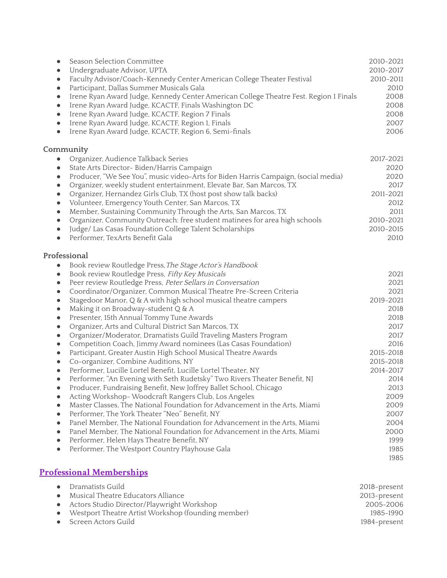| Season Selection Committee                                                          |                                                                                       | 2010-2021 |
|-------------------------------------------------------------------------------------|---------------------------------------------------------------------------------------|-----------|
| Undergraduate Advisor, UPTA<br>$\bullet$                                            |                                                                                       | 2010-2017 |
| Faculty Advisor/Coach-Kennedy Center American College Theater Festival<br>$\bullet$ |                                                                                       | 2010-2011 |
| Participant, Dallas Summer Musicals Gala<br>$\bullet$                               |                                                                                       | 2010      |
| $\bullet$                                                                           | Irene Ryan Award Judge, Kennedy Center American College Theatre Fest. Region 1 Finals | 2008      |
| Irene Ryan Award Judge, KCACTF, Finals Washington DC<br>$\bullet$                   |                                                                                       | 2008      |
| Irene Ryan Award Judge, KCACTF, Region 7 Finals<br>$\bullet$                        |                                                                                       | 2008      |
| Irene Ryan Award Judge, KCACTF, Region 1, Finals<br>$\bullet$                       |                                                                                       | 2007      |
| Irene Ryan Award Judge, KCACTF, Region 6, Semi-finals<br>$\bullet$                  |                                                                                       | 2006      |
|                                                                                     |                                                                                       |           |

## **Community**

| $\bullet$ | Organizer, Audience Talkback Series                                                | 2017-2021 |
|-----------|------------------------------------------------------------------------------------|-----------|
| $\bullet$ | State Arts Director- Biden/Harris Campaign                                         | 2020      |
|           | Producer, "We See You", music video-Arts for Biden Harris Campaign, (social media) | 2020      |
|           | • Organizer, weekly student entertainment, Elevate Bar, San Marcos, TX             | 2017      |
| $\bullet$ | Organizer, Hernandez Girls Club, TX (host post show talk backs)                    | 2011-2021 |
|           | • Volunteer, Emergency Youth Center, San Marcos, TX                                | 2012      |
| $\bullet$ | Member, Sustaining Community Through the Arts, San Marcos, TX                      | 2011      |
| $\bullet$ | Organizer, Community Outreach: free student matinees for area high schools         | 2010-2021 |
|           | Judge/ Las Casas Foundation College Talent Scholarships                            | 2010-2015 |
|           | Performer, TexArts Benefit Gala                                                    | 2010      |

## **Professional**

| Book review Routledge Press, The Stage Actor's Handbook                               |           |
|---------------------------------------------------------------------------------------|-----------|
| Book review Routledge Press, Fifty Key Musicals<br>$\bullet$                          | 2021      |
| Peer review Routledge Press, Peter Sellars in Conversation                            | 2021      |
| Coordinator/Organizer, Common Musical Theatre Pre-Screen Criteria                     | 2021      |
| Stagedoor Manor, Q & A with high school musical theatre campers<br>$\bullet$          | 2019-2021 |
| Making it on Broadway-student Q & A                                                   | 2018      |
| Presenter, 15th Annual Tommy Tune Awards<br>$\bullet$                                 | 2018      |
| Organizer, Arts and Cultural District San Marcos, TX                                  | 2017      |
| Organizer/Moderator, Dramatists Guild Traveling Masters Program                       | 2017      |
| Competition Coach, Jimmy Award nominees (Las Casas Foundation)                        | 2016      |
| Participant, Greater Austin High School Musical Theatre Awards                        | 2015-2018 |
| Co-organizer, Combine Auditions, NY                                                   | 2015-2018 |
| Performer, Lucille Lortel Benefit, Lucille Lortel Theater, NY<br>$\bullet$            | 2014-2017 |
| Performer, "An Evening with Seth Rudetsky" Two Rivers Theater Benefit, NJ             | 2014      |
| Producer, Fundraising Benefit, New Joffrey Ballet School, Chicago                     | 2013      |
| Acting Workshop-Woodcraft Rangers Club, Los Angeles<br>$\bullet$                      | 2009      |
| Master Classes, The National Foundation for Advancement in the Arts, Miami            | 2009      |
| Performer, The York Theater "Neo" Benefit, NY                                         | 2007      |
| Panel Member, The National Foundation for Advancement in the Arts, Miami<br>$\bullet$ | 2004      |
| Panel Member, The National Foundation for Advancement in the Arts, Miami<br>$\bullet$ | 2000      |
| Performer, Helen Hays Theatre Benefit, NY<br>$\bullet$                                | 1999      |
| Performer, The Westport Country Playhouse Gala<br>$\bullet$                           | 1985      |
|                                                                                       | 1985      |

# **Professional Memberships**

| • Dramatists Guild                                   | 2018-present |
|------------------------------------------------------|--------------|
| Musical Theatre Educators Alliance                   | 2013-present |
| Actors Studio Director/Playwright Workshop           | 2005–2006    |
| • Westport Theatre Artist Workshop (founding member) | 1985–1990    |
| • Screen Actors Guild                                | 1984-present |